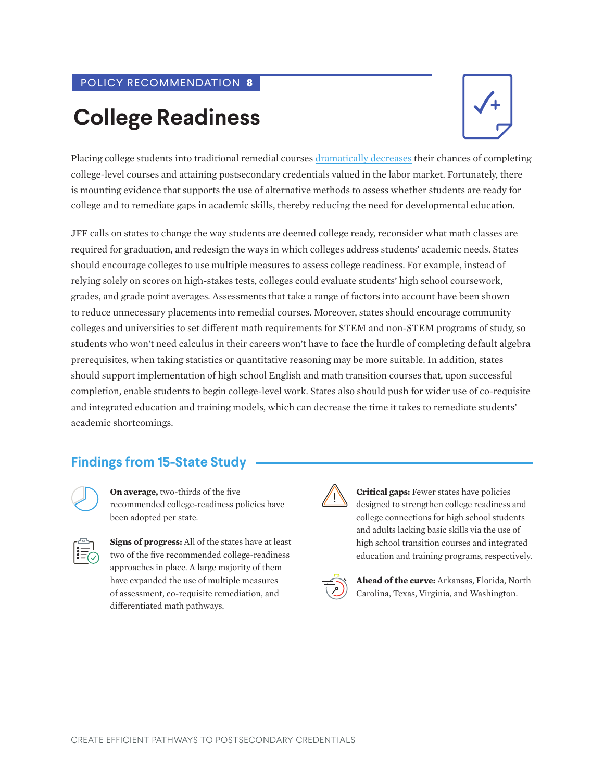#### POLICY RECOMMENDATION **8**

# **College Readiness**



Placing college students into traditional remedial courses [dramatically decreases](https://ccrc.tc.columbia.edu/media/k2/attachments/developmental-education-introduction-policymakers.pdf) their chances of completing college-level courses and attaining postsecondary credentials valued in the labor market. Fortunately, there is mounting evidence that supports the use of alternative methods to assess whether students are ready for college and to remediate gaps in academic skills, thereby reducing the need for developmental education.

JFF calls on states to change the way students are deemed college ready, reconsider what math classes are required for graduation, and redesign the ways in which colleges address students' academic needs. States should encourage colleges to use multiple measures to assess college readiness. For example, instead of relying solely on scores on high-stakes tests, colleges could evaluate students' high school coursework, grades, and grade point averages. Assessments that take a range of factors into account have been shown to reduce unnecessary placements into remedial courses. Moreover, states should encourage community colleges and universities to set different math requirements for STEM and non-STEM programs of study, so students who won't need calculus in their careers won't have to face the hurdle of completing default algebra prerequisites, when taking statistics or quantitative reasoning may be more suitable. In addition, states should support implementation of high school English and math transition courses that, upon successful completion, enable students to begin college-level work. States also should push for wider use of co-requisite and integrated education and training models, which can decrease the time it takes to remediate students' academic shortcomings.

## **Findings from 15-State Study**

**On average,** two-thirds of the five recommended college-readiness policies have been adopted per state.

**Signs of progress:** All of the states have at least two of the five recommended college-readiness approaches in place. A large majority of them have expanded the use of multiple measures of assessment, co-requisite remediation, and differentiated math pathways.

**Critical gaps:** Fewer states have policies designed to strengthen college readiness and college connections for high school students and adults lacking basic skills via the use of high school transition courses and integrated education and training programs, respectively.



**Ahead of the curve:** Arkansas, Florida, North Carolina, Texas, Virginia, and Washington.